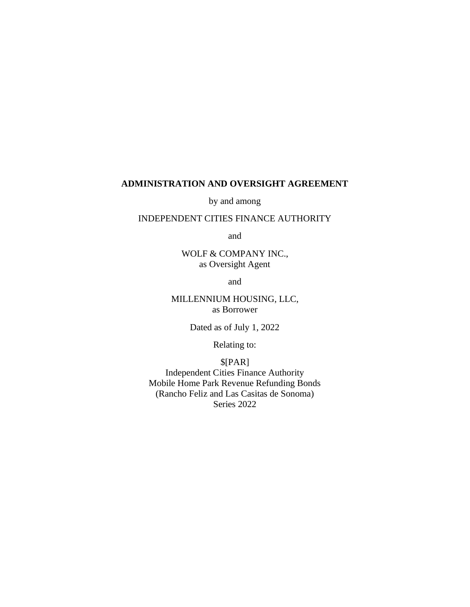## **ADMINISTRATION AND OVERSIGHT AGREEMENT**

by and among

### INDEPENDENT CITIES FINANCE AUTHORITY

and

WOLF & COMPANY INC., as Oversight Agent

and

MILLENNIUM HOUSING, LLC, as Borrower

Dated as of July 1, 2022

Relating to:

## \$[PAR]

Independent Cities Finance Authority Mobile Home Park Revenue Refunding Bonds (Rancho Feliz and Las Casitas de Sonoma) Series 2022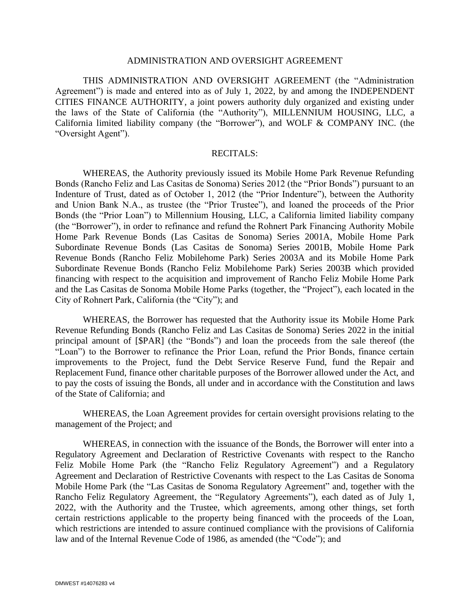#### ADMINISTRATION AND OVERSIGHT AGREEMENT

THIS ADMINISTRATION AND OVERSIGHT AGREEMENT (the "Administration Agreement") is made and entered into as of July 1, 2022, by and among the INDEPENDENT CITIES FINANCE AUTHORITY, a joint powers authority duly organized and existing under the laws of the State of California (the "Authority"), MILLENNIUM HOUSING, LLC, a California limited liability company (the "Borrower"), and WOLF & COMPANY INC. (the "Oversight Agent").

#### RECITALS:

WHEREAS, the Authority previously issued its Mobile Home Park Revenue Refunding Bonds (Rancho Feliz and Las Casitas de Sonoma) Series 2012 (the "Prior Bonds") pursuant to an Indenture of Trust, dated as of October 1, 2012 (the "Prior Indenture"), between the Authority and Union Bank N.A., as trustee (the "Prior Trustee"), and loaned the proceeds of the Prior Bonds (the "Prior Loan") to Millennium Housing, LLC, a California limited liability company (the "Borrower"), in order to refinance and refund the Rohnert Park Financing Authority Mobile Home Park Revenue Bonds (Las Casitas de Sonoma) Series 2001A, Mobile Home Park Subordinate Revenue Bonds (Las Casitas de Sonoma) Series 2001B, Mobile Home Park Revenue Bonds (Rancho Feliz Mobilehome Park) Series 2003A and its Mobile Home Park Subordinate Revenue Bonds (Rancho Feliz Mobilehome Park) Series 2003B which provided financing with respect to the acquisition and improvement of Rancho Feliz Mobile Home Park and the Las Casitas de Sonoma Mobile Home Parks (together, the "Project"), each located in the City of Rohnert Park, California (the "City"); and

WHEREAS, the Borrower has requested that the Authority issue its Mobile Home Park Revenue Refunding Bonds (Rancho Feliz and Las Casitas de Sonoma) Series 2022 in the initial principal amount of [\$PAR] (the "Bonds") and loan the proceeds from the sale thereof (the "Loan") to the Borrower to refinance the Prior Loan, refund the Prior Bonds, finance certain improvements to the Project, fund the Debt Service Reserve Fund, fund the Repair and Replacement Fund, finance other charitable purposes of the Borrower allowed under the Act, and to pay the costs of issuing the Bonds, all under and in accordance with the Constitution and laws of the State of California; and

WHEREAS, the Loan Agreement provides for certain oversight provisions relating to the management of the Project; and

WHEREAS, in connection with the issuance of the Bonds, the Borrower will enter into a Regulatory Agreement and Declaration of Restrictive Covenants with respect to the Rancho Feliz Mobile Home Park (the "Rancho Feliz Regulatory Agreement") and a Regulatory Agreement and Declaration of Restrictive Covenants with respect to the Las Casitas de Sonoma Mobile Home Park (the "Las Casitas de Sonoma Regulatory Agreement" and, together with the Rancho Feliz Regulatory Agreement, the "Regulatory Agreements"), each dated as of July 1, 2022, with the Authority and the Trustee, which agreements, among other things, set forth certain restrictions applicable to the property being financed with the proceeds of the Loan, which restrictions are intended to assure continued compliance with the provisions of California law and of the Internal Revenue Code of 1986, as amended (the "Code"); and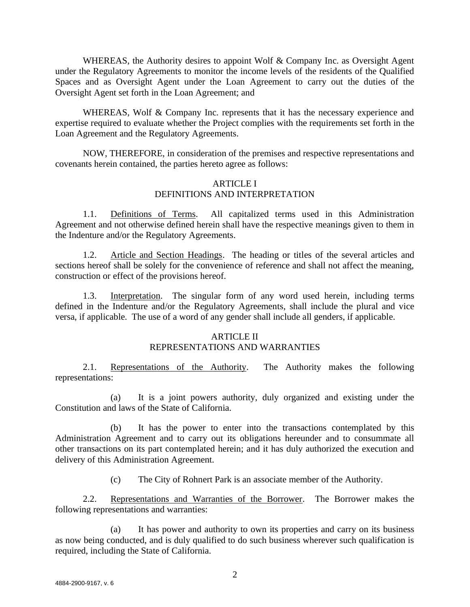WHEREAS, the Authority desires to appoint Wolf & Company Inc. as Oversight Agent under the Regulatory Agreements to monitor the income levels of the residents of the Qualified Spaces and as Oversight Agent under the Loan Agreement to carry out the duties of the Oversight Agent set forth in the Loan Agreement; and

WHEREAS, Wolf & Company Inc. represents that it has the necessary experience and expertise required to evaluate whether the Project complies with the requirements set forth in the Loan Agreement and the Regulatory Agreements.

NOW, THEREFORE, in consideration of the premises and respective representations and covenants herein contained, the parties hereto agree as follows:

### ARTICLE I DEFINITIONS AND INTERPRETATION

1.1. Definitions of Terms. All capitalized terms used in this Administration Agreement and not otherwise defined herein shall have the respective meanings given to them in the Indenture and/or the Regulatory Agreements.

1.2. Article and Section Headings. The heading or titles of the several articles and sections hereof shall be solely for the convenience of reference and shall not affect the meaning, construction or effect of the provisions hereof.

1.3. Interpretation. The singular form of any word used herein, including terms defined in the Indenture and/or the Regulatory Agreements, shall include the plural and vice versa, if applicable. The use of a word of any gender shall include all genders, if applicable.

### ARTICLE II

### REPRESENTATIONS AND WARRANTIES

2.1. Representations of the Authority. The Authority makes the following representations:

(a) It is a joint powers authority, duly organized and existing under the Constitution and laws of the State of California.

(b) It has the power to enter into the transactions contemplated by this Administration Agreement and to carry out its obligations hereunder and to consummate all other transactions on its part contemplated herein; and it has duly authorized the execution and delivery of this Administration Agreement.

(c) The City of Rohnert Park is an associate member of the Authority.

2.2. Representations and Warranties of the Borrower. The Borrower makes the following representations and warranties:

(a) It has power and authority to own its properties and carry on its business as now being conducted, and is duly qualified to do such business wherever such qualification is required, including the State of California.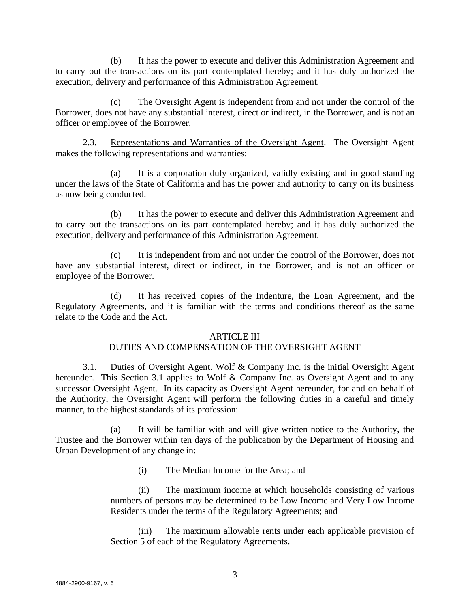(b) It has the power to execute and deliver this Administration Agreement and to carry out the transactions on its part contemplated hereby; and it has duly authorized the execution, delivery and performance of this Administration Agreement.

(c) The Oversight Agent is independent from and not under the control of the Borrower, does not have any substantial interest, direct or indirect, in the Borrower, and is not an officer or employee of the Borrower.

2.3. Representations and Warranties of the Oversight Agent. The Oversight Agent makes the following representations and warranties:

(a) It is a corporation duly organized, validly existing and in good standing under the laws of the State of California and has the power and authority to carry on its business as now being conducted.

(b) It has the power to execute and deliver this Administration Agreement and to carry out the transactions on its part contemplated hereby; and it has duly authorized the execution, delivery and performance of this Administration Agreement.

(c) It is independent from and not under the control of the Borrower, does not have any substantial interest, direct or indirect, in the Borrower, and is not an officer or employee of the Borrower.

(d) It has received copies of the Indenture, the Loan Agreement, and the Regulatory Agreements, and it is familiar with the terms and conditions thereof as the same relate to the Code and the Act.

### ARTICLE III

# DUTIES AND COMPENSATION OF THE OVERSIGHT AGENT

3.1. Duties of Oversight Agent. Wolf & Company Inc. is the initial Oversight Agent hereunder. This Section 3.1 applies to Wolf & Company Inc. as Oversight Agent and to any successor Oversight Agent. In its capacity as Oversight Agent hereunder, for and on behalf of the Authority, the Oversight Agent will perform the following duties in a careful and timely manner, to the highest standards of its profession:

(a) It will be familiar with and will give written notice to the Authority, the Trustee and the Borrower within ten days of the publication by the Department of Housing and Urban Development of any change in:

(i) The Median Income for the Area; and

(ii) The maximum income at which households consisting of various numbers of persons may be determined to be Low Income and Very Low Income Residents under the terms of the Regulatory Agreements; and

(iii) The maximum allowable rents under each applicable provision of Section 5 of each of the Regulatory Agreements.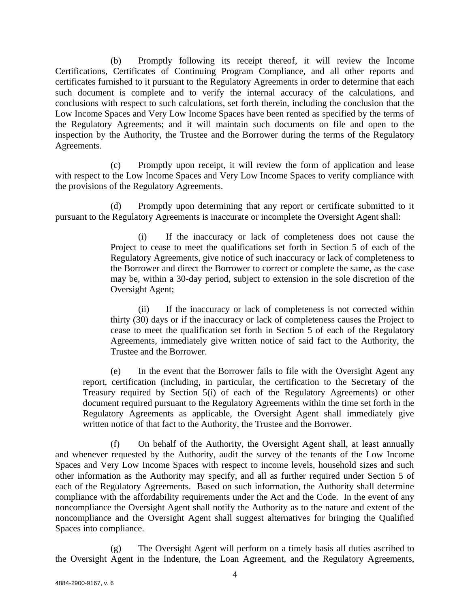(b) Promptly following its receipt thereof, it will review the Income Certifications, Certificates of Continuing Program Compliance, and all other reports and certificates furnished to it pursuant to the Regulatory Agreements in order to determine that each such document is complete and to verify the internal accuracy of the calculations, and conclusions with respect to such calculations, set forth therein, including the conclusion that the Low Income Spaces and Very Low Income Spaces have been rented as specified by the terms of the Regulatory Agreements; and it will maintain such documents on file and open to the inspection by the Authority, the Trustee and the Borrower during the terms of the Regulatory Agreements.

(c) Promptly upon receipt, it will review the form of application and lease with respect to the Low Income Spaces and Very Low Income Spaces to verify compliance with the provisions of the Regulatory Agreements.

Promptly upon determining that any report or certificate submitted to it pursuant to the Regulatory Agreements is inaccurate or incomplete the Oversight Agent shall:

> (i) If the inaccuracy or lack of completeness does not cause the Project to cease to meet the qualifications set forth in Section 5 of each of the Regulatory Agreements, give notice of such inaccuracy or lack of completeness to the Borrower and direct the Borrower to correct or complete the same, as the case may be, within a 30-day period, subject to extension in the sole discretion of the Oversight Agent;

> (ii) If the inaccuracy or lack of completeness is not corrected within thirty (30) days or if the inaccuracy or lack of completeness causes the Project to cease to meet the qualification set forth in Section 5 of each of the Regulatory Agreements, immediately give written notice of said fact to the Authority, the Trustee and the Borrower.

(e) In the event that the Borrower fails to file with the Oversight Agent any report, certification (including, in particular, the certification to the Secretary of the Treasury required by Section 5(i) of each of the Regulatory Agreements) or other document required pursuant to the Regulatory Agreements within the time set forth in the Regulatory Agreements as applicable, the Oversight Agent shall immediately give written notice of that fact to the Authority, the Trustee and the Borrower.

(f) On behalf of the Authority, the Oversight Agent shall, at least annually and whenever requested by the Authority, audit the survey of the tenants of the Low Income Spaces and Very Low Income Spaces with respect to income levels, household sizes and such other information as the Authority may specify, and all as further required under Section 5 of each of the Regulatory Agreements. Based on such information, the Authority shall determine compliance with the affordability requirements under the Act and the Code. In the event of any noncompliance the Oversight Agent shall notify the Authority as to the nature and extent of the noncompliance and the Oversight Agent shall suggest alternatives for bringing the Qualified Spaces into compliance.

(g) The Oversight Agent will perform on a timely basis all duties ascribed to the Oversight Agent in the Indenture, the Loan Agreement, and the Regulatory Agreements,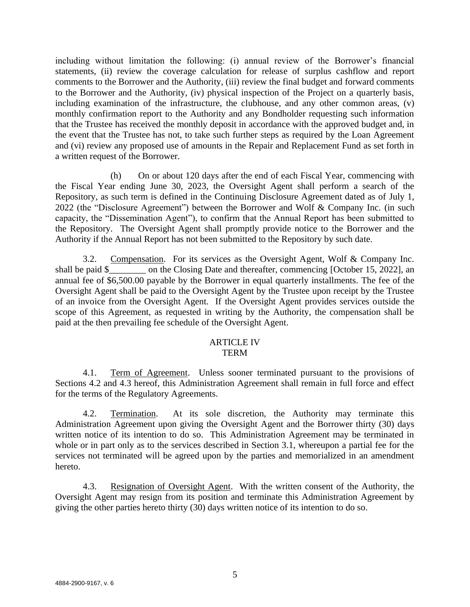including without limitation the following: (i) annual review of the Borrower's financial statements, (ii) review the coverage calculation for release of surplus cashflow and report comments to the Borrower and the Authority, (iii) review the final budget and forward comments to the Borrower and the Authority, (iv) physical inspection of the Project on a quarterly basis, including examination of the infrastructure, the clubhouse, and any other common areas, (v) monthly confirmation report to the Authority and any Bondholder requesting such information that the Trustee has received the monthly deposit in accordance with the approved budget and, in the event that the Trustee has not, to take such further steps as required by the Loan Agreement and (vi) review any proposed use of amounts in the Repair and Replacement Fund as set forth in a written request of the Borrower.

(h) On or about 120 days after the end of each Fiscal Year, commencing with the Fiscal Year ending June 30, 2023, the Oversight Agent shall perform a search of the Repository, as such term is defined in the Continuing Disclosure Agreement dated as of July 1, 2022 (the "Disclosure Agreement") between the Borrower and Wolf & Company Inc. (in such capacity, the "Dissemination Agent"), to confirm that the Annual Report has been submitted to the Repository. The Oversight Agent shall promptly provide notice to the Borrower and the Authority if the Annual Report has not been submitted to the Repository by such date.

3.2. Compensation. For its services as the Oversight Agent, Wolf & Company Inc. shall be paid \$\_\_\_\_\_\_\_ on the Closing Date and thereafter, commencing [October 15, 2022], an annual fee of \$6,500.00 payable by the Borrower in equal quarterly installments. The fee of the Oversight Agent shall be paid to the Oversight Agent by the Trustee upon receipt by the Trustee of an invoice from the Oversight Agent. If the Oversight Agent provides services outside the scope of this Agreement, as requested in writing by the Authority, the compensation shall be paid at the then prevailing fee schedule of the Oversight Agent.

#### ARTICLE IV **TERM**

4.1. Term of Agreement. Unless sooner terminated pursuant to the provisions of Sections 4.2 and 4.3 hereof, this Administration Agreement shall remain in full force and effect for the terms of the Regulatory Agreements.

4.2. Termination. At its sole discretion, the Authority may terminate this Administration Agreement upon giving the Oversight Agent and the Borrower thirty (30) days written notice of its intention to do so. This Administration Agreement may be terminated in whole or in part only as to the services described in Section 3.1, whereupon a partial fee for the services not terminated will be agreed upon by the parties and memorialized in an amendment hereto.

4.3. Resignation of Oversight Agent. With the written consent of the Authority, the Oversight Agent may resign from its position and terminate this Administration Agreement by giving the other parties hereto thirty (30) days written notice of its intention to do so.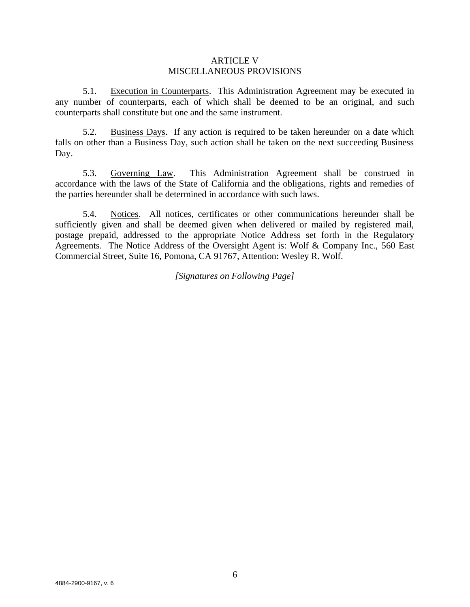#### ARTICLE V MISCELLANEOUS PROVISIONS

5.1. Execution in Counterparts. This Administration Agreement may be executed in any number of counterparts, each of which shall be deemed to be an original, and such counterparts shall constitute but one and the same instrument.

5.2. Business Days. If any action is required to be taken hereunder on a date which falls on other than a Business Day, such action shall be taken on the next succeeding Business Day.

5.3. Governing Law. This Administration Agreement shall be construed in accordance with the laws of the State of California and the obligations, rights and remedies of the parties hereunder shall be determined in accordance with such laws.

5.4. Notices. All notices, certificates or other communications hereunder shall be sufficiently given and shall be deemed given when delivered or mailed by registered mail, postage prepaid, addressed to the appropriate Notice Address set forth in the Regulatory Agreements. The Notice Address of the Oversight Agent is: Wolf & Company Inc., 560 East Commercial Street, Suite 16, Pomona, CA 91767, Attention: Wesley R. Wolf.

*[Signatures on Following Page]*